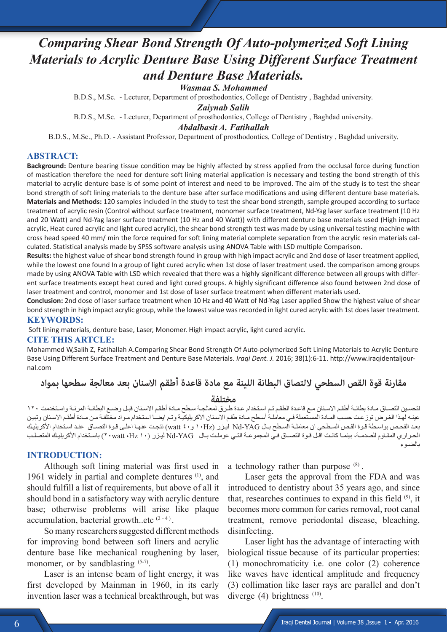# *Comparing Shear Bond Strength Of Auto-polymerized Soft Lining Materials to Acrylic Denture Base Using Different Surface Treatment and Denture Base Materials.*

*Wasmaa S. Mohammed*

B.D.S., M.Sc. - Lecturer, Department of prosthodontics, College of Dentistry , Baghdad university.

*Zaiynab Salih*

B.D.S., M.Sc. - Lecturer, Department of prosthodontics, College of Dentistry , Baghdad university.

*Abdalbasit A. Fatihallah* 

B.D.S., M.Sc., Ph.D. - Assistant Professor, Department of prosthodontics, College of Dentistry , Baghdad university.

### **ABSTRACT:**

**Background:** Denture bearing tissue condition may be highly affected by stress applied from the occlusal force during function of mastication therefore the need for denture soft lining material application is necessary and testing the bond strength of this material to acrylic denture base is of some point of interest and need to be improved. The aim of the study is to test the shear bond strength of soft lining materials to the denture base after surface modifications and using different denture base materials. **Materials and Methods:** 120 samples included in the study to test the shear bond strength, sample grouped according to surface treatment of acrylic resin (Control without surface treatment, monomer surface treatment, Nd-Yag laser surface treatment (10 Hz and 20 Watt) and Nd-Yag laser surface treatment (10 Hz and 40 Watt)) with different denture base materials used (High impact acrylic, Heat cured acrylic and light cured acrylic), the shear bond strength test was made by using universal testing machine with cross head speed 40 mm/ min the force required for soft lining material complete separation from the acrylic resin materials calculated. Statistical analysis made by SPSS software analysis using ANOVA Table with LSD multiple Comparison.

**Results:** the highest value of shear bond strength found in group with high impact acrylic and 2nd dose of laser treatment applied, while the lowest one found In a group of light cured acrylic when 1st dose of laser treatment used. the comparison among groups made by using ANOVA Table with LSD which revealed that there was a highly significant difference between all groups with different surface treatments except heat cured and light cured groups. A highly significant difference also found between 2nd dose of laser treatment and control, monomer and 1st dose of laser surface treatment when different materials used.

**Conclusion:** 2nd dose of laser surface treatment when 10 Hz and 40 Watt of Nd-Yag Laser applied Show the highest value of shear bond strength in high impact acrylic group, while the lowest value was recorded in light cured acrylic with 1st does laser treatment. **KEYWORDS:**

Soft lining materials, denture base, Laser, Monomer. High impact acrylic, light cured acrylic.

### **CITE THIS ARTCLE:**

Mohammed W,Salih Z, Fatihallah A.Comparing Shear Bond Strength Of Auto-polymerized Soft Lining Materials to Acrylic Denture Base Using Different Surface Treatment and Denture Base Materials. *Iraqi Dent. J.* 2016; 38(1):6-11. http://www.iraqidentaljournal.com

**مقارنة قوة القص السطحي اللتصاق البطانة اللينة مع مادة قاعدة أطقم االسنان بعد معالجة سطحها بمواد** 

**مختلفة**<br>لتحسين التصـاق مـادة بطانـة أطقم الاسـنان مـع قاعـدة الطقـم تـم اسـتخدام عـدة طـرق لمعالجـة سـطح مـادة أطقـم الاسنان قبـل وضـع البطانـة المرنـة واستخدمت ١٢٠ عينـه لهـذا الغرض توزعت حسب المـادة المسـتعملة فـي معاملـة أسـطح مـادة طقم الاسـنان الاكريليكيـة وتـم ايضـا اسـتخدام مـواد مختلفـة مـن مـادة أطقم الاسـنان وتبيـن بعـد الفحـص بواسـطة قـوة القـص السـطحي ان معاملـة السـطح بـال YAG-Nd ليـزر )Hz١٠ و٤٠ watt )نتجـت عنهـا اعلـى قـوة التصـاق عنـد اسـتخدام األكريليـك الحـراري المقـاوم للصدمـة، بينمـا كانـت اقـل قـوة التصـاق فـي المجموعـة التـي عوملـت بـال YAG-Nd ليـزر )١٠ Hz، watt٢٠ )باسـتخدام األكريليـك المتصلـب بالضـوء

# **INTRODUCTION:**

Although soft lining material was first used in 1961 widely in partial and complete dentures <sup>(1)</sup>, and should fulfill a list of requirements, but above of all it should bond in a satisfactory way with acrylic denture base; otherwise problems will arise like plaque accumulation, bacterial growth..etc  $(2 - 4)$ .

So many researchers suggested different methods for improving bond between soft liners and acrylic denture base like mechanical roughening by laser, monomer, or by sandblasting <sup>(5-7)</sup>.

Laser is an intense beam of light energy, it was first developed by Mainman in 1960, in its early invention laser was a technical breakthrough, but was a technology rather than purpose  $(8)$ .

Laser gets the approval from the FDA and was introduced to dentistry about 35 years ago, and since that, researches continues to expand in this field  $(9)$ , it becomes more common for caries removal, root canal treatment, remove periodontal disease, bleaching, disinfecting.

Laser light has the advantage of interacting with biological tissue because of its particular properties: (1) monochromaticity i.e. one color (2) coherence like waves have identical amplitude and frequency (3) collimation like laser rays are parallel and don't diverge  $(4)$  brightness  $(10)$ .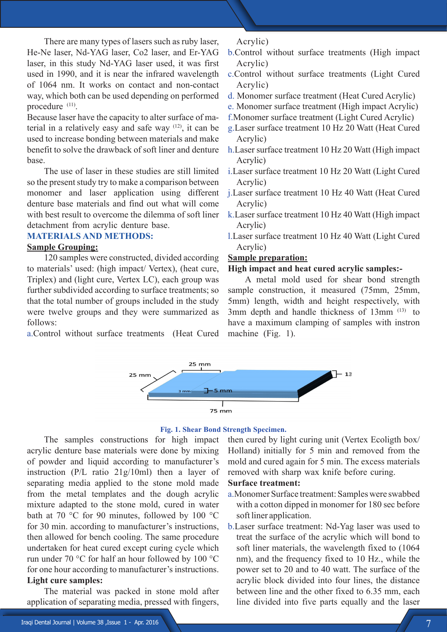There are many types of lasers such as ruby laser, He-Ne laser, Nd-YAG laser, Co2 laser, and Er-YAG laser, in this study Nd-YAG laser used, it was first used in 1990, and it is near the infrared wavelength of 1064 nm. It works on contact and non-contact way, which both can be used depending on performed procedure <sup>(11)</sup>.

Because laser have the capacity to alter surface of material in a relatively easy and safe way  $(12)$ , it can be used to increase bonding between materials and make benefit to solve the drawback of soft liner and denture base.

The use of laser in these studies are still limited so the present study try to make a comparison between monomer and laser application using different denture base materials and find out what will come with best result to overcome the dilemma of soft liner detachment from acrylic denture base.

# **MATERIALS AND METHODS:**

# **Sample Grouping:**

120 samples were constructed, divided according to materials' used: (high impact/ Vertex), (heat cure, Triplex) and (light cure, Vertex LC), each group was further subdivided according to surface treatments; so that the total number of groups included in the study were twelve groups and they were summarized as follows:

a.Control without surface treatments (Heat Cured

Acrylic)

- b.Control without surface treatments (High impact Acrylic)
- c.Control without surface treatments (Light Cured Acrylic)
- d. Monomer surface treatment (Heat Cured Acrylic)
- e. Monomer surface treatment (High impact Acrylic)
- f.Monomer surface treatment (Light Cured Acrylic)
- g.Laser surface treatment 10 Hz 20 Watt (Heat Cured Acrylic)
- h.Laser surface treatment 10 Hz 20 Watt (High impact Acrylic)
- i.Laser surface treatment 10 Hz 20 Watt (Light Cured Acrylic)
- j.Laser surface treatment 10 Hz 40 Watt (Heat Cured Acrylic)
- k.Laser surface treatment 10 Hz 40 Watt (High impact Acrylic)
- l.Laser surface treatment 10 Hz 40 Watt (Light Cured Acrylic)

# **Sample preparation:**

# **High impact and heat cured acrylic samples:-**

A metal mold used for shear bond strength sample construction, it measured (75mm, 25mm, 5mm) length, width and height respectively, with 3mm depth and handle thickness of 13mm (13) to have a maximum clamping of samples with instron machine (Fig. 1).



#### **Fig. 1. Shear Bond Strength Specimen.**

The samples constructions for high impact acrylic denture base materials were done by mixing of powder and liquid according to manufacturer's instruction (P/L ratio 21g/10ml) then a layer of separating media applied to the stone mold made from the metal templates and the dough acrylic mixture adapted to the stone mold, cured in water bath at 70 °C for 90 minutes, followed by 100 °C for 30 min. according to manufacturer's instructions, then allowed for bench cooling. The same procedure undertaken for heat cured except curing cycle which run under 70 °C for half an hour followed by 100 °C for one hour according to manufacturer's instructions. **Light cure samples:**

The material was packed in stone mold after application of separating media, pressed with fingers, then cured by light curing unit (Vertex Ecoligth box/ Holland) initially for 5 min and removed from the mold and cured again for 5 min. The excess materials removed with sharp wax knife before curing.

# **Surface treatment:**

- a.Monomer Surface treatment: Samples were swabbed with a cotton dipped in monomer for 180 sec before soft liner application.
- b.Laser surface treatment: Nd-Yag laser was used to treat the surface of the acrylic which will bond to soft liner materials, the wavelength fixed to (1064 nm), and the frequency fixed to 10 Hz., while the power set to 20 and to 40 watt. The surface of the acrylic block divided into four lines, the distance between line and the other fixed to 6.35 mm, each line divided into five parts equally and the laser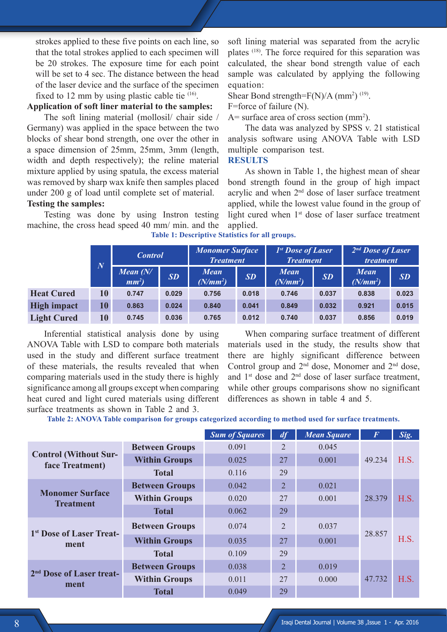strokes applied to these five points on each line, so that the total strokes applied to each specimen will be 20 strokes. The exposure time for each point will be set to 4 sec. The distance between the head of the laser device and the surface of the specimen fixed to 12 mm by using plastic cable tie <sup>(16)</sup>.

# **Application of soft liner material to the samples:**

The soft lining material (mollosil/ chair side / Germany) was applied in the space between the two blocks of shear bond strength, one over the other in a space dimension of 25mm, 25mm, 3mm (length, width and depth respectively); the reline material mixture applied by using spatula, the excess material was removed by sharp wax knife then samples placed under 200 g of load until complete set of material.

# **Testing the samples:**

Testing was done by using Instron testing machine, the cross head speed 40 mm/ min. and the soft lining material was separated from the acrylic plates (18) . The force required for this separation was calculated, the shear bond strength value of each sample was calculated by applying the following equation:

Shear Bond strength= $F(N)/A$  (mm<sup>2</sup>)<sup>(19)</sup>.

F=force of failure (N).

 $A=$  surface area of cross section (mm<sup>2</sup>).

The data was analyzed by SPSS v. 21 statistical analysis software using ANOVA Table with LSD multiple comparison test.

# **RESULTS**

As shown in Table 1, the highest mean of shear bond strength found in the group of high impact acrylic and when 2nd dose of laser surface treatment applied, while the lowest value found in the group of light cured when 1<sup>st</sup> dose of laser surface treatment applied.

|                    | $\overline{N}$ | <b>Control</b>                       |       | <b>Monomer Surface</b><br><b>Treatment</b> |       | 1st Dose of Laser<br><b>Treatment</b> |       | $2nd$ Dose of Laser<br><i>treatment</i> |           |
|--------------------|----------------|--------------------------------------|-------|--------------------------------------------|-------|---------------------------------------|-------|-----------------------------------------|-----------|
|                    |                | <b>Mean</b> $(N/$<br>mm <sup>2</sup> | SD    | <b>Mean</b><br>$(N/mm^2)$                  | SD    | <b>Mean</b><br>$(N/mm^2)$             | SD    | <b>Mean</b><br>$(N/mm^2)$               | <b>SD</b> |
| <b>Heat Cured</b>  | 10             | 0.747                                | 0.029 | 0.756                                      | 0.018 | 0.746                                 | 0.037 | 0.838                                   | 0.023     |
| <b>High impact</b> | 10             | 0.863                                | 0.024 | 0.840                                      | 0.041 | 0.849                                 | 0.032 | 0.921                                   | 0.015     |
| <b>Light Cured</b> | 10             | 0.745                                | 0.036 | 0.765                                      | 0.012 | 0.740                                 | 0.037 | 0.856                                   | 0.019     |

**Table 1: Descriptive Statistics for all groups.**

Inferential statistical analysis done by using ANOVA Table with LSD to compare both materials used in the study and different surface treatment of these materials, the results revealed that when comparing materials used in the study there is highly significance among all groups except when comparing heat cured and light cured materials using different surface treatments as shown in Table 2 and 3.

When comparing surface treatment of different materials used in the study, the results show that there are highly significant difference between Control group and  $2<sup>nd</sup>$  dose, Monomer and  $2<sup>nd</sup>$  dose, and 1st dose and 2nd dose of laser surface treatment, while other groups comparisons show no significant differences as shown in table 4 and 5.

**Table 2: ANOVA Table comparison for groups categorized according to method used for surface treatments.**

|                                                 |                       | <b>Sum of Squares</b> | df             | <b>Mean Square</b> | $\bm{F}$ | Sig. |
|-------------------------------------------------|-----------------------|-----------------------|----------------|--------------------|----------|------|
|                                                 | <b>Between Groups</b> | 0.091                 | $\overline{2}$ | 0.045              |          |      |
| <b>Control (Without Sur-</b><br>face Treatment) | <b>Within Groups</b>  | 0.025                 | 27             | 0.001              | 49.234   | H.S. |
|                                                 | <b>Total</b>          | 0.116                 | 29             |                    |          |      |
|                                                 | <b>Between Groups</b> | 0.042                 | $\overline{2}$ | 0.021              |          |      |
| <b>Monomer Surface</b><br><b>Treatment</b>      | <b>Within Groups</b>  | 0.020                 | 27             | 0.001              | 28.379   | H.S. |
|                                                 | <b>Total</b>          | 0.062                 | 29             |                    |          |      |
| 1 <sup>st</sup> Dose of Laser Treat-            | <b>Between Groups</b> | 0.074                 | $\overline{2}$ | 0.037              | 28.857   | H.S. |
| ment                                            | <b>Within Groups</b>  | 0.035                 | 27             | 0.001              |          |      |
|                                                 | <b>Total</b>          | 0.109                 | 29             |                    |          |      |
|                                                 | <b>Between Groups</b> | 0.038                 | $\overline{2}$ | 0.019              |          |      |
| 2 <sup>nd</sup> Dose of Laser treat-<br>ment    | <b>Within Groups</b>  | 0.011                 | 27             | 0.000              | 47.732   | H.S. |
|                                                 | <b>Total</b>          | 0.049                 | 29             |                    |          |      |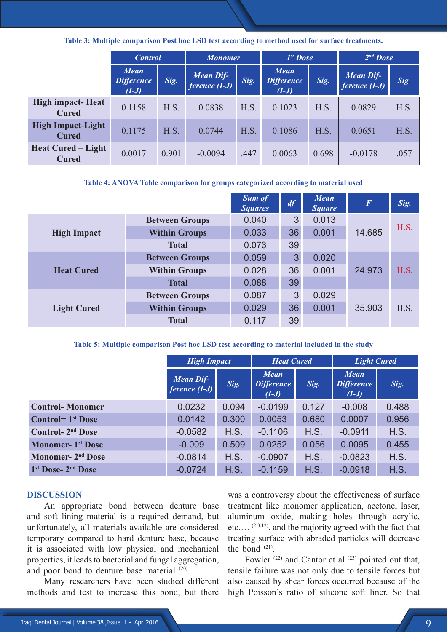**Table 3: Multiple comparison Post hoc LSD test according to method used for surface treatments.**

|                                           | <b>Control</b>                              |       | <b>Monomer</b>                           |      | $Ist$ <i>Dose</i>                           |       | $2nd$ Dose                          |      |
|-------------------------------------------|---------------------------------------------|-------|------------------------------------------|------|---------------------------------------------|-------|-------------------------------------|------|
|                                           | <b>Mean</b><br><b>Difference</b><br>$(I-J)$ | Sig.  | <b>Mean Dif-</b><br><i>ference</i> (I-J) | Sig. | <b>Mean</b><br><b>Difference</b><br>$(I-J)$ | Sig.  | <b>Mean Dif-</b><br>ference $(I-J)$ | Sig. |
| <b>High impact-Heat</b><br><b>Cured</b>   | 0.1158                                      | H.S.  | 0.0838                                   | H.S. | 0.1023                                      | H.S.  | 0.0829                              | H.S. |
| <b>High Impact-Light</b><br><b>Cured</b>  | 0.1175                                      | H.S.  | 0.0744                                   | H.S. | 0.1086                                      | H.S.  | 0.0651                              | H.S. |
| <b>Heat Cured – Light</b><br><b>Cured</b> | 0.0017                                      | 0.901 | $-0.0094$                                | .447 | 0.0063                                      | 0.698 | $-0.0178$                           | .057 |

### **Table 4: ANOVA Table comparison for groups categorized according to material used**

|                    |                       | <b>Sum of</b><br><b>Squares</b> | df                                              | <b>Mean</b><br><b>Square</b> | $\overline{F}$ | Sig.                 |
|--------------------|-----------------------|---------------------------------|-------------------------------------------------|------------------------------|----------------|----------------------|
|                    | <b>Between Groups</b> | 0.040                           | 3                                               | 0.013                        |                | H.S.<br>H.S.<br>H.S. |
| <b>High Impact</b> | <b>Within Groups</b>  | 0.033                           | 36                                              | 0.001                        | 14.685         |                      |
|                    | <b>Total</b>          | 0.073                           | 39<br>3<br>0.020<br>36<br>0.001<br>24.973<br>39 |                              |                |                      |
| <b>Heat Cured</b>  | <b>Between Groups</b> | 0.059                           |                                                 |                              |                |                      |
|                    | <b>Within Groups</b>  | 0.028                           |                                                 |                              |                |                      |
|                    | <b>Total</b>          | 0.088                           |                                                 |                              |                |                      |
|                    | <b>Between Groups</b> | 0.087                           | 3                                               | 0.029                        |                |                      |
| <b>Light Cured</b> | <b>Within Groups</b>  | 0.029                           | 36                                              | 0.001                        | 35.903         |                      |
|                    | <b>Total</b>          | 0.117                           | 39                                              |                              |                |                      |

### **Table 5: Multiple comparison Post hoc LSD test according to material included in the study**

|                                            | <b>High Impact</b>                  |       | <b>Heat Cured</b>                           |       | <b>Light Cured</b>                          |       |
|--------------------------------------------|-------------------------------------|-------|---------------------------------------------|-------|---------------------------------------------|-------|
|                                            | <b>Mean Dif-</b><br>ference $(I-J)$ | Sig.  | <b>Mean</b><br><b>Difference</b><br>$(I-J)$ | Sig.  | <b>Mean</b><br><b>Difference</b><br>$(I-J)$ | Sig.  |
| <b>Control-Monomer</b>                     | 0.0232                              | 0.094 | $-0.0199$                                   | 0.127 | $-0.008$                                    | 0.488 |
| <b>Control=</b> $1st$ Dose                 | 0.0142                              | 0.300 | 0.0053                                      | 0.680 | 0.0007                                      | 0.956 |
| <b>Control-2<sup>nd</sup> Dose</b>         | $-0.0582$                           | H.S.  | $-0.1106$                                   | H.S.  | $-0.0911$                                   | H.S.  |
| <b>Monomer- 1st Dose</b>                   | $-0.009$                            | 0.509 | 0.0252                                      | 0.056 | 0.0095                                      | 0.455 |
| Monomer- 2 <sup>nd</sup> Dose              | $-0.0814$                           | H.S.  | $-0.0907$                                   | H.S.  | $-0.0823$                                   | H.S.  |
| 1 <sup>st</sup> Dose- 2 <sup>nd</sup> Dose | $-0.0724$                           | H.S.  | $-0.1159$                                   | H.S.  | $-0.0918$                                   | H.S.  |

### **DISCUSSION**

An appropriate bond between denture base and soft lining material is a required demand, but unfortunately, all materials available are considered temporary compared to hard denture base, because it is associated with low physical and mechanical properties, it leads to bacterial and fungal aggregation, and poor bond to denture base material <sup>(20)</sup>.

Many researchers have been studied different methods and test to increase this bond, but there

was a controversy about the effectiveness of surface treatment like monomer application, acetone, laser, aluminum oxide, making holes through acrylic, etc.… (2,3,12) , and the majority agreed with the fact that treating surface with abraded particles will decrease the bond  $(21)$ .

Fowler  $(22)$  and Cantor et al  $(23)$  pointed out that, tensile failure was not only due to tensile forces but also caused by shear forces occurred because of the high Poisson's ratio of silicone soft liner. So that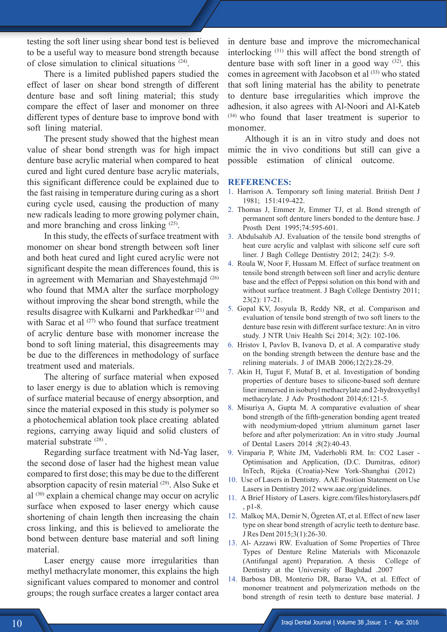testing the soft liner using shear bond test is believed to be a useful way to measure bond strength because of close simulation to clinical situations (24) .

There is a limited published papers studied the effect of laser on shear bond strength of different denture base and soft lining material; this study compare the effect of laser and monomer on three different types of denture base to improve bond with soft lining material.

The present study showed that the highest mean value of shear bond strength was for high impact denture base acrylic material when compared to heat cured and light cured denture base acrylic materials, this significant difference could be explained due to the fast raising in temperature during curing as a short curing cycle used, causing the production of many new radicals leading to more growing polymer chain, and more branching and cross linking (25) .

In this study, the effects of surface treatment with monomer on shear bond strength between soft liner and both heat cured and light cured acrylic were not significant despite the mean differences found, this is in agreement with Memarian and Shayestehmajd (26) who found that MMA alter the surface morphology without improving the shear bond strength, while the results disagree with Kulkarni and Parkhedkar<sup>(21)</sup> and with Sarac et al  $(27)$  who found that surface treatment of acrylic denture base with monomer increase the bond to soft lining material, this disagreements may be due to the differences in methodology of surface treatment used and materials.

The altering of surface material when exposed to laser energy is due to ablation which is removing of surface material because of energy absorption, and since the material exposed in this study is polymer so a photochemical ablation took place creating ablated regions, carrying away liquid and solid clusters of material substrate <sup>(28)</sup>.

Regarding surface treatment with Nd-Yag laser, the second dose of laser had the highest mean value compared to first dose; this may be due to the different absorption capacity of resin material <sup>(29)</sup>. Also Suke et al (30) explain a chemical change may occur on acrylic surface when exposed to laser energy which cause shortening of chain length then increasing the chain cross linking, and this is believed to ameliorate the bond between denture base material and soft lining material.

Laser energy cause more irregularities than methyl methacrylate monomer, this explains the high significant values compared to monomer and control groups; the rough surface creates a larger contact area in denture base and improve the micromechanical interlocking <sup>(31)</sup> this will affect the bond strength of denture base with soft liner in a good way  $(32)$ . this comes in agreement with Jacobson et al <sup>(33)</sup> who stated that soft lining material has the ability to penetrate to denture base irregularities which improve the adhesion, it also agrees with Al-Noori and Al-Kateb (34) who found that laser treatment is superior to monomer.

Although it is an in vitro study and does not mimic the in vivo conditions but still can give a possible estimation of clinical outcome.

### **REFERENCES:**

- 1. Harrison A. Temporary soft lining material. British Dent J 1981; 151:419-422.
- 2. Thomas J, Emmer Jr, Emmer TJ, et al. Bond strength of permanent soft denture liners bonded to the denture base. J Prosth Dent 1995;74:595-601.
- 3. Abdulsahib AJ. Evaluation of the tensile bond strengths of heat cure acrylic and valplast with silicone self cure soft liner. J Bagh College Dentistry 2012; 24(2): 5-9.
- 4. Roula W, Noor F, Hussam M. Effect of surface treatment on tensile bond strength between soft liner and acrylic denture base and the effect of Peppsi solution on this bond with and without surface treatment. J Bagh College Dentistry 2011; 23(2): 17-21.
- 5. Gopal KV, Josyula B, Reddy NR, et al. Comparison and evaluation of tensile bond strength of two soft liners to the denture base resin with different surface texture: An in vitro study. J NTR Univ Health Sci 2014; 3(2): 102-106.
- 6. Hristov I, Pavlov B, Ivanova D, et al. A comparative study on the bonding strength between the denture base and the relining materials. J of IMAB 2006;12(2):28-29.
- 7. Akin H, Tugut F, Mutaf B, et al. Investigation of bonding properties of denture bases to silicone-based soft denture liner immersed in isobutyl methacrylate and 2-hydroxyethyl methacrylate. J Adv Prosthodont 2014;6:121-5.
- 8. Misuriya A, Gupta M. A comparative evaluation of shear bond strength of the fifth-generation bonding agent treated with neodymium‑doped yttrium aluminum garnet laser before and after polymerization: An in vitro study .Journal of Dental Lasers 2014 ;8(2):40-43.
- 9. Viraparia P, White JM, Vaderhobli RM. In: CO2 Laser Optimisation and Application, (D.C. Dumitras, editor) InTech, Rijeka (Croatia)-New York-Shanghai (2012)
- 10. Use of Lasers in Dentistry. AAE Position Statement on Use Lasers in Dentistry 2012 www.aae.org/guidelines.
- 11. A Brief History of Lasers. kigre.com/files/historylasers.pdf , p1-8.
- 12. Malkoç MA, Demir N, Ögreten AT, et al. Effect of new laser type on shear bond strength of acrylic teeth to denture base. J Res Dent 2015;3(1):26-30.
- 13. Al- Azzawi RW. Evaluation of Some Properties of Three Types of Denture Reline Materials with Miconazole (Antifungal agent) Preparation. A thesis College of Dentistry at the University of Baghdad .2007
- 14. Barbosa DB, Monterio DR, Barao VA, et al. Effect of monomer treatment and polymerization methods on the bond strength of resin teeth to denture base material. J